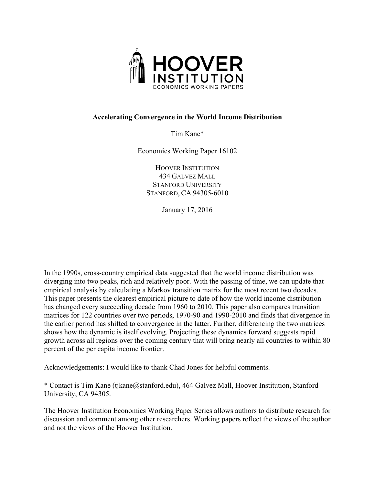

# **Accelerating Convergence in the World Income Distribution**

Tim Kane\*

Economics Working Paper 16102

HOOVER INSTITUTION 434 GALVEZ MALL STANFORD UNIVERSITY STANFORD, CA 94305-6010

January 17, 2016

In the 1990s, cross-country empirical data suggested that the world income distribution was diverging into two peaks, rich and relatively poor. With the passing of time, we can update that empirical analysis by calculating a Markov transition matrix for the most recent two decades. This paper presents the clearest empirical picture to date of how the world income distribution has changed every succeeding decade from 1960 to 2010. This paper also compares transition matrices for 122 countries over two periods, 1970-90 and 1990-2010 and finds that divergence in the earlier period has shifted to convergence in the latter. Further, differencing the two matrices shows how the dynamic is itself evolving. Projecting these dynamics forward suggests rapid growth across all regions over the coming century that will bring nearly all countries to within 80 percent of the per capita income frontier.

Acknowledgements: I would like to thank Chad Jones for helpful comments.

\* Contact is Tim Kane (tjkane@stanford.edu), 464 Galvez Mall, Hoover Institution, Stanford University, CA 94305.

The Hoover Institution Economics Working Paper Series allows authors to distribute research for discussion and comment among other researchers. Working papers reflect the views of the author and not the views of the Hoover Institution.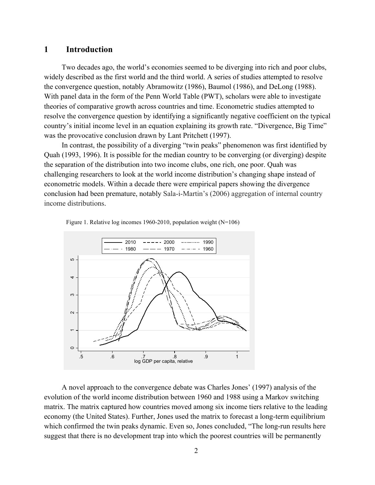# **1 Introduction**

Two decades ago, the world's economies seemed to be diverging into rich and poor clubs, widely described as the first world and the third world. A series of studies attempted to resolve the convergence question, notably Abramowitz (1986), Baumol (1986), and DeLong (1988). With panel data in the form of the Penn World Table (PWT), scholars were able to investigate theories of comparative growth across countries and time. Econometric studies attempted to resolve the convergence question by identifying a significantly negative coefficient on the typical country's initial income level in an equation explaining its growth rate. "Divergence, Big Time" was the provocative conclusion drawn by Lant Pritchett (1997).

In contrast, the possibility of a diverging "twin peaks" phenomenon was first identified by Quah (1993, 1996). It is possible for the median country to be converging (or diverging) despite the separation of the distribution into two income clubs, one rich, one poor. Quah was challenging researchers to look at the world income distribution's changing shape instead of econometric models. Within a decade there were empirical papers showing the divergence conclusion had been premature, notably Sala-i-Martin's (2006) aggregation of internal country income distributions.



Figure 1. Relative log incomes 1960-2010, population weight (N=106)

A novel approach to the convergence debate was Charles Jones' (1997) analysis of the evolution of the world income distribution between 1960 and 1988 using a Markov switching matrix. The matrix captured how countries moved among six income tiers relative to the leading economy (the United States). Further, Jones used the matrix to forecast a long-term equilibrium which confirmed the twin peaks dynamic. Even so, Jones concluded, "The long-run results here suggest that there is no development trap into which the poorest countries will be permanently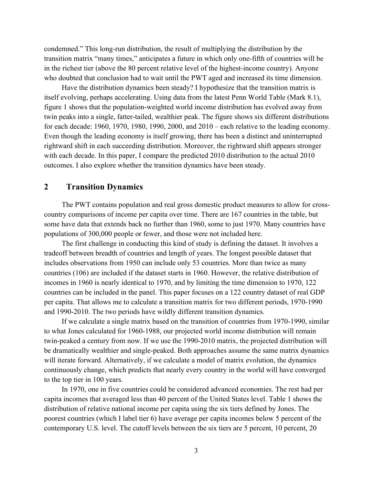condemned." This long-run distribution, the result of multiplying the distribution by the transition matrix "many times," anticipates a future in which only one-fifth of countries will be in the richest tier (above the 80 percent relative level of the highest-income country). Anyone who doubted that conclusion had to wait until the PWT aged and increased its time dimension.

Have the distribution dynamics been steady? I hypothesize that the transition matrix is itself evolving, perhaps accelerating. Using data from the latest Penn World Table (Mark 8.1), figure 1 shows that the population-weighted world income distribution has evolved away from twin peaks into a single, fatter-tailed, wealthier peak. The figure shows six different distributions for each decade: 1960, 1970, 1980, 1990, 2000, and 2010 – each relative to the leading economy. Even though the leading economy is itself growing, there has been a distinct and uninterrupted rightward shift in each succeeding distribution. Moreover, the rightward shift appears stronger with each decade. In this paper, I compare the predicted 2010 distribution to the actual 2010 outcomes. I also explore whether the transition dynamics have been steady.

# **2 Transition Dynamics**

The PWT contains population and real gross domestic product measures to allow for crosscountry comparisons of income per capita over time. There are 167 countries in the table, but some have data that extends back no further than 1960, some to just 1970. Many countries have populations of 300,000 people or fewer, and those were not included here.

The first challenge in conducting this kind of study is defining the dataset. It involves a tradeoff between breadth of countries and length of years. The longest possible dataset that includes observations from 1950 can include only 53 countries. More than twice as many countries (106) are included if the dataset starts in 1960. However, the relative distribution of incomes in 1960 is nearly identical to 1970, and by limiting the time dimension to 1970, 122 countries can be included in the panel. This paper focuses on a 122 country dataset of real GDP per capita. That allows me to calculate a transition matrix for two different periods, 1970-1990 and 1990-2010. The two periods have wildly different transition dynamics.

If we calculate a single matrix based on the transition of countries from 1970-1990, similar to what Jones calculated for 1960-1988, our projected world income distribution will remain twin-peaked a century from now. If we use the 1990-2010 matrix, the projected distribution will be dramatically wealthier and single-peaked. Both approaches assume the same matrix dynamics will iterate forward. Alternatively, if we calculate a model of matrix evolution, the dynamics continuously change, which predicts that nearly every country in the world will have converged to the top tier in 100 years.

In 1970, one in five countries could be considered advanced economies. The rest had per capita incomes that averaged less than 40 percent of the United States level. Table 1 shows the distribution of relative national income per capita using the six tiers defined by Jones. The poorest countries (which I label tier 6) have average per capita incomes below 5 percent of the contemporary U.S. level. The cutoff levels between the six tiers are 5 percent, 10 percent, 20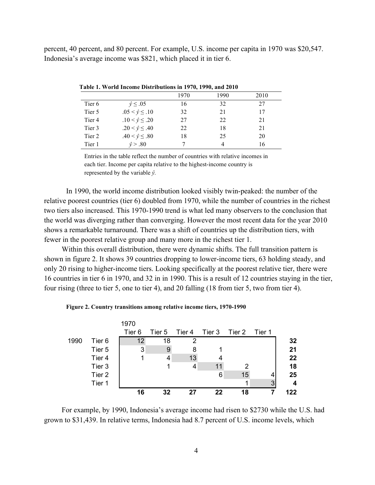percent, 40 percent, and 80 percent. For example, U.S. income per capita in 1970 was \$20,547. Indonesia's average income was \$821, which placed it in tier 6.

|                   | $\sim$ 0.000 in the complete state of the complete complete $\sim$ 0.000 mm $\sim$ 0.000 mm $\sim$ |      |      |      |
|-------------------|----------------------------------------------------------------------------------------------------|------|------|------|
|                   |                                                                                                    | 1970 | 1990 | 2010 |
| Tier 6            | $\hat{y} \leq .05$                                                                                 | 16   | 32   | 27   |
| Tier 5            | $.05 < \hat{v} \le .10$                                                                            | 32   | 21   | 17   |
| Tier <sub>4</sub> | $.10 < \hat{y} \le .20$                                                                            | 27   | 22   | 21   |
| Tier 3            | .20 < $\hat{v} \le$ .40                                                                            | 22   | 18   | 21   |
| Tier 2            | $.40 < \hat{v} \le .80$                                                                            | 18   | 25   | 20   |
| Tier 1            | $\hat{v} > .80$                                                                                    |      |      | 16   |

**Table 1. World Income Distributions in 1970, 1990, and 2010**

Entries in the table reflect the number of countries with relative incomes in each tier. Income per capita relative to the highest-income country is represented by the variable  $\hat{v}$ *.* 

In 1990, the world income distribution looked visibly twin-peaked: the number of the relative poorest countries (tier 6) doubled from 1970, while the number of countries in the richest two tiers also increased. This 1970-1990 trend is what led many observers to the conclusion that the world was diverging rather than converging. However the most recent data for the year 2010 shows a remarkable turnaround. There was a shift of countries up the distribution tiers, with fewer in the poorest relative group and many more in the richest tier 1.

Within this overall distribution, there were dynamic shifts. The full transition pattern is shown in figure 2. It shows 39 countries dropping to lower-income tiers, 63 holding steady, and only 20 rising to higher-income tiers. Looking specifically at the poorest relative tier, there were 16 countries in tier 6 in 1970, and 32 in in 1990. This is a result of 12 countries staying in the tier, four rising (three to tier 5, one to tier 4), and 20 falling (18 from tier 5, two from tier 4).

#### **Figure 2. Country transitions among relative income tiers, 1970-1990**



For example, by 1990, Indonesia's average income had risen to \$2730 while the U.S. had grown to \$31,439. In relative terms, Indonesia had 8.7 percent of U.S. income levels, which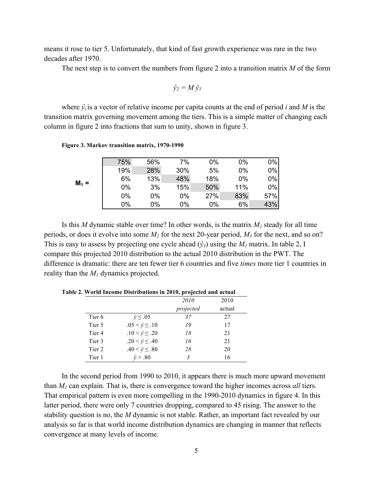means it rose to tier 5. Unfortunately, that kind of fast growth experience was rare in the two decades after 1970.

The next step is to convert the numbers from figure 2 into a transition matrix *M* of the form

$$
\hat{y}_2 = M \hat{y}_1
$$

where  $\hat{y}_i$  is a vector of relative income per capita counts at the end of period *i* and *M* is the transition matrix governing movement among the tiers. This is a simple matter of changing each column in figure 2 into fractions that sum to unity, shown in figure 3.

| $M_1 =$ | 75% | 56% | 7%  | $0\%$ | 0%    | 0%  |
|---------|-----|-----|-----|-------|-------|-----|
|         | 19% | 28% | 30% | 5%    | 0%    | 0%  |
|         | 6%  | 13% | 48% | 18%   | $0\%$ | 0%  |
|         | 0%  | 3%  | 15% | 50%   | 11%   | 0%  |
|         | 0%  | 0%  | 0%  | 27%   | 83%   | 57% |
|         | 0%  | 0%  | 0%  | 0%    | 6%    | 43% |

**Figure 3. Markov transition matrix, 1970-1990** 

Is this *M* dynamic stable over time? In other words, is the matrix  $M_1$  steady for all time periods, or does it evolve into some *M2* for the next 20-year period, *M3* for the next, and so on? This is easy to assess by projecting one cycle ahead  $(\hat{y}_3)$  using the  $M_1$  matrix. In table 2, I compare this projected 2010 distribution to the actual 2010 distribution in the PWT. The difference is dramatic: there are ten fewer tier 6 countries and five *times* more tier 1 countries in reality than the *M1* dynamics projected.

| " " "The meeting Distributions in 2010, projected and actual |                         |             |        |  |  |
|--------------------------------------------------------------|-------------------------|-------------|--------|--|--|
|                                                              |                         | <i>2010</i> | 2010   |  |  |
|                                                              |                         | projected   | actual |  |  |
| Tier <sub>6</sub>                                            | $\hat{v} \leq .05$      | 37          | 27     |  |  |
| Tier 5                                                       | $.05 < \hat{v} \le .10$ | 19          | 17     |  |  |
| Tier 4                                                       | $.10 < \hat{v} \le .20$ | 18          | 21     |  |  |
| Tier 3                                                       | $.20 < \hat{v} \le .40$ | 16          | 21     |  |  |
| Tier 2                                                       | $.40 < \hat{v} \le .80$ | 28          | 20     |  |  |
| Tier 1                                                       | $\hat{v} > .80$         | 3           | 16     |  |  |

**Table 2. World Income Distributions in 2010, projected and actual**

In the second period from 1990 to 2010, it appears there is much more upward movement than *M1* can explain. That is, there is convergence toward the higher incomes across *all* tiers. That empirical pattern is even more compelling in the 1990-2010 dynamics in figure 4. In this latter period, there were only 7 countries dropping, compared to 45 rising. The answer to the stability question is no, the *M* dynamic is not stable. Rather, an important fact revealed by our analysis so far is that world income distribution dynamics are changing in manner that reflects convergence at many levels of income.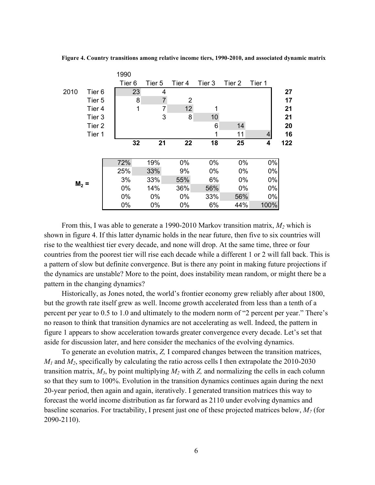**Figure 4. Country transitions among relative income tiers, 1990-2010, and associated dynamic matrix**

|        |                   | 1990              |                |        |        |        |        |     |
|--------|-------------------|-------------------|----------------|--------|--------|--------|--------|-----|
|        |                   | Tier <sub>6</sub> | Tier 5         | Tier 4 | Tier 3 | Tier 2 | Tier 1 |     |
| 2010   | Tier <sub>6</sub> | 23                | 4              |        |        |        |        | 27  |
|        | Tier 5            | 8                 | $\overline{7}$ | 2      |        |        |        | 17  |
|        | Tier 4            | 1                 | 7              | 12     |        |        |        | 21  |
|        | Tier 3            |                   | 3              | 8      | 10     |        |        | 21  |
|        | Tier 2            |                   |                |        | 6      | 14     |        | 20  |
|        | Tier 1            |                   |                |        | 1      | 11     | 4      | 16  |
|        |                   | 32                | 21             | 22     | 18     | 25     | 4      | 122 |
|        |                   |                   |                |        |        |        |        |     |
|        |                   | 72%               | 19%            | 0%     | $0\%$  | 0%     | 0%     |     |
|        |                   | 25%               | 33%            | 9%     | 0%     | 0%     | 0%     |     |
|        |                   | 3%                | 33%            | 55%    | 6%     | $0\%$  | $0\%$  |     |
| $M2$ = |                   | 0%                | 14%            | 36%    | 56%    | $0\%$  | 0%     |     |
|        |                   | 0%                | 0%             | 0%     | 33%    | 56%    | $0\%$  |     |
|        |                   | 0%                | 0%             | 0%     | 6%     | 44%    | 100%   |     |

From this, I was able to generate a 1990-2010 Markov transition matrix, *M2* which is shown in figure 4. If this latter dynamic holds in the near future, then five to six countries will rise to the wealthiest tier every decade, and none will drop. At the same time, three or four countries from the poorest tier will rise each decade while a different 1 or 2 will fall back. This is a pattern of slow but definite convergence. But is there any point in making future projections if the dynamics are unstable? More to the point, does instability mean random, or might there be a pattern in the changing dynamics?

Historically, as Jones noted, the world's frontier economy grew reliably after about 1800, but the growth rate itself grew as well. Income growth accelerated from less than a tenth of a percent per year to 0.5 to 1.0 and ultimately to the modern norm of "2 percent per year." There's no reason to think that transition dynamics are not accelerating as well. Indeed, the pattern in figure 1 appears to show acceleration towards greater convergence every decade. Let's set that aside for discussion later, and here consider the mechanics of the evolving dynamics.

To generate an evolution matrix, *Z,* I compared changes between the transition matrices,  $M_1$  and  $M_2$ , specifically by calculating the ratio across cells I then extrapolate the 2010-2030 transition matrix,  $M_3$ , by point multiplying  $M_2$  with  $Z$ , and normalizing the cells in each column so that they sum to 100%. Evolution in the transition dynamics continues again during the next 20-year period, then again and again, iteratively. I generated transition matrices this way to forecast the world income distribution as far forward as 2110 under evolving dynamics and baseline scenarios. For tractability, I present just one of these projected matrices below, *M7* (for 2090-2110).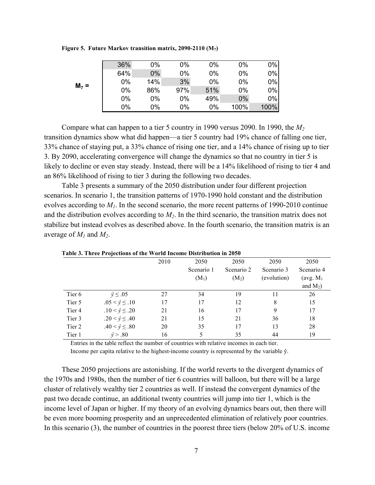**Figure 5. Future Markov transition matrix, 2090-2110 (M7)**

| $M7 =$ | 36% | 0%    | 0%  | $0\%$ | 0%   | $0\%$ |
|--------|-----|-------|-----|-------|------|-------|
|        | 64% | $0\%$ | 0%  | 0%    | 0%   | $0\%$ |
|        | 0%  | 14%   | 3%  | 0%    | 0%   | $0\%$ |
|        | 0%  | 86%   | 97% | 51%   | 0%   | $0\%$ |
|        | 0%  | 0%    | 0%  | 49%   | 0%   | $0\%$ |
|        | 0%  | 0%    | 0%  | 0%    | 100% | 100%  |

Compare what can happen to a tier 5 country in 1990 versus 2090. In 1990, the *M2* transition dynamics show what did happen—a tier 5 country had 19% chance of falling one tier, 33% chance of staying put, a 33% chance of rising one tier, and a 14% chance of rising up to tier 3. By 2090, accelerating convergence will change the dynamics so that no country in tier 5 is likely to decline or even stay steady. Instead, there will be a 14% likelihood of rising to tier 4 and an 86% likelihood of rising to tier 3 during the following two decades.

Table 3 presents a summary of the 2050 distribution under four different projection scenarios. In scenario 1, the transition patterns of 1970-1990 hold constant and the distribution evolves according to  $M_l$ . In the second scenario, the more recent patterns of 1990-2010 continue and the distribution evolves according to *M2*. In the third scenario, the transition matrix does not stabilize but instead evolves as described above. In the fourth scenario, the transition matrix is an average of  $M_1$  and  $M_2$ .

|        |                         | 2010 | 2050       | 2050       | 2050        | 2050        |
|--------|-------------------------|------|------------|------------|-------------|-------------|
|        |                         |      | Scenario 1 | Scenario 2 | Scenario 3  | Scenario 4  |
|        |                         |      | $(M_1)$    | $(M_2)$    | (evolution) | (avg. $M_1$ |
|        |                         |      |            |            |             | and $M_2$ ) |
| Tier 6 | $\hat{v} \leq .05$      | 27   | 34         | 19         | 11          | 26          |
| Tier 5 | $.05 < \hat{y} \le .10$ | 17   | 17         | 12         | 8           | 15          |
| Tier 4 | $.10 < \hat{y} \le .20$ | 21   | 16         | 17         | 9           | 17          |
| Tier 3 | $.20 < \hat{y} \le .40$ | 21   | 15         | 21         | 36          | 18          |
| Tier 2 | $.40 < \hat{v} \le .80$ | 20   | 35         | 17         | 13          | 28          |
| Tier 1 | $\hat{v} > .80$         | 16   | 5          | 35         | 44          | 19          |

**Table 3. Three Projections of the World Income Distribution in 2050** 

Entries in the table reflect the number of countries with relative incomes in each tier.

Income per capita relative to the highest-income country is represented by the variable  $\hat{y}$ .

These 2050 projections are astonishing. If the world reverts to the divergent dynamics of the 1970s and 1980s, then the number of tier 6 countries will balloon, but there will be a large cluster of relatively wealthy tier 2 countries as well. If instead the convergent dynamics of the past two decade continue, an additional twenty countries will jump into tier 1, which is the income level of Japan or higher. If my theory of an evolving dynamics bears out, then there will be even more booming prosperity and an unprecedented elimination of relatively poor countries. In this scenario (3), the number of countries in the poorest three tiers (below 20% of U.S. income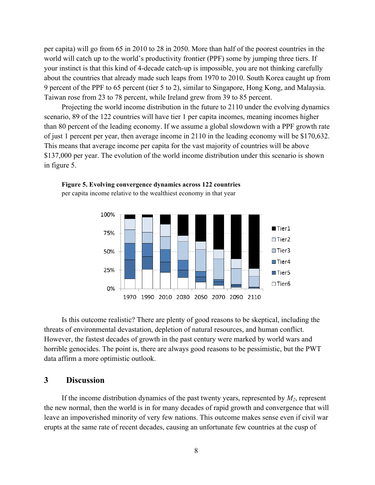per capita) will go from 65 in 2010 to 28 in 2050. More than half of the poorest countries in the world will catch up to the world's productivity frontier (PPF) some by jumping three tiers. If your instinct is that this kind of 4-decade catch-up is impossible, you are not thinking carefully about the countries that already made such leaps from 1970 to 2010. South Korea caught up from 9 percent of the PPF to 65 percent (tier 5 to 2), similar to Singapore, Hong Kong, and Malaysia. Taiwan rose from 23 to 78 percent, while Ireland grew from 39 to 85 percent.

Projecting the world income distribution in the future to 2110 under the evolving dynamics scenario, 89 of the 122 countries will have tier 1 per capita incomes, meaning incomes higher than 80 percent of the leading economy. If we assume a global slowdown with a PPF growth rate of just 1 percent per year, then average income in 2110 in the leading economy will be \$170,632. This means that average income per capita for the vast majority of countries will be above \$137,000 per year. The evolution of the world income distribution under this scenario is shown in figure 5.



**Figure 5. Evolving convergence dynamics across 122 countries** per capita income relative to the wealthiest economy in that year

Is this outcome realistic? There are plenty of good reasons to be skeptical, including the threats of environmental devastation, depletion of natural resources, and human conflict. However, the fastest decades of growth in the past century were marked by world wars and horrible genocides. The point is, there are always good reasons to be pessimistic, but the PWT data affirm a more optimistic outlook.

#### **3 Discussion**

If the income distribution dynamics of the past twenty years, represented by  $M_2$ , represent the new normal, then the world is in for many decades of rapid growth and convergence that will leave an impoverished minority of very few nations. This outcome makes sense even if civil war erupts at the same rate of recent decades, causing an unfortunate few countries at the cusp of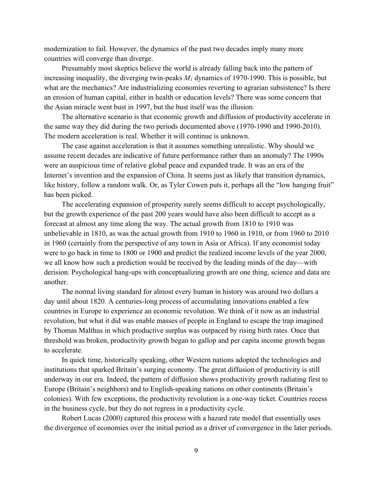modernization to fail. However, the dynamics of the past two decades imply many more countries will converge than diverge.

Presumably most skeptics believe the world is already falling back into the pattern of increasing inequality, the diverging twin-peaks  $M<sub>1</sub>$  dynamics of 1970-1990. This is possible, but what are the mechanics? Are industrializing economies reverting to agrarian subsistence? Is there an erosion of human capital, either in health or education levels? There was some concern that the Asian miracle went bust in 1997, but the bust itself was the illusion.

The alternative scenario is that economic growth and diffusion of productivity accelerate in the same way they did during the two periods documented above (1970-1990 and 1990-2010). The modern acceleration is real. Whether it will continue is unknown.

The case against acceleration is that it assumes something unrealistic. Why should we assume recent decades are indicative of future performance rather than an anomaly? The 1990s were an auspicious time of relative global peace and expanded trade. It was an era of the Internet's invention and the expansion of China. It seems just as likely that transition dynamics, like history, follow a random walk. Or, as Tyler Cowen puts it, perhaps all the "low hanging fruit" has been picked.

The accelerating expansion of prosperity surely seems difficult to accept psychologically, but the growth experience of the past 200 years would have also been difficult to accept as a forecast at almost any time along the way. The actual growth from 1810 to 1910 was unbelievable in 1810, as was the actual growth from 1910 to 1960 in 1910, or from 1960 to 2010 in 1960 (certainly from the perspective of any town in Asia or Africa). If any economist today were to go back in time to 1800 or 1900 and predict the realized income levels of the year 2000, we all know how such a prediction would be received by the leading minds of the day—with derision. Psychological hang-ups with conceptualizing growth are one thing, science and data are another.

The normal living standard for almost every human in history was around two dollars a day until about 1820. A centuries-long process of accumulating innovations enabled a few countries in Europe to experience an economic revolution. We think of it now as an industrial revolution, but what it did was enable masses of people in England to escape the trap imagined by Thomas Malthus in which productive surplus was outpaced by rising birth rates. Once that threshold was broken, productivity growth began to gallop and per capita income growth began to accelerate.

In quick time, historically speaking, other Western nations adopted the technologies and institutions that sparked Britain's surging economy. The great diffusion of productivity is still underway in our era. Indeed, the pattern of diffusion shows productivity growth radiating first to Europe (Britain's neighbors) and to English-speaking nations on other continents (Britain's colonies). With few exceptions, the productivity revolution is a one-way ticket. Countries recess in the business cycle, but they do not regress in a productivity cycle.

Robert Lucas (2000) captured this process with a hazard rate model that essentially uses the divergence of economies over the initial period as a driver of convergence in the later periods.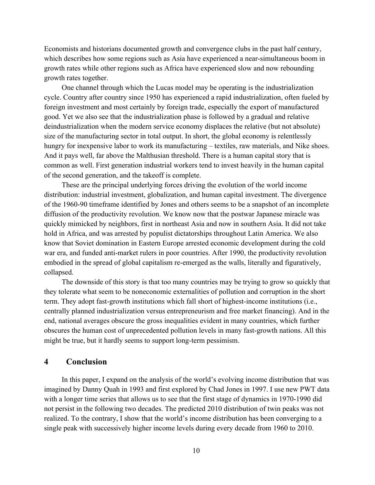Economists and historians documented growth and convergence clubs in the past half century, which describes how some regions such as Asia have experienced a near-simultaneous boom in growth rates while other regions such as Africa have experienced slow and now rebounding growth rates together.

One channel through which the Lucas model may be operating is the industrialization cycle. Country after country since 1950 has experienced a rapid industrialization, often fueled by foreign investment and most certainly by foreign trade, especially the export of manufactured good. Yet we also see that the industrialization phase is followed by a gradual and relative deindustrialization when the modern service economy displaces the relative (but not absolute) size of the manufacturing sector in total output. In short, the global economy is relentlessly hungry for inexpensive labor to work its manufacturing – textiles, raw materials, and Nike shoes. And it pays well, far above the Malthusian threshold. There is a human capital story that is common as well. First generation industrial workers tend to invest heavily in the human capital of the second generation, and the takeoff is complete.

These are the principal underlying forces driving the evolution of the world income distribution: industrial investment, globalization, and human capital investment. The divergence of the 1960-90 timeframe identified by Jones and others seems to be a snapshot of an incomplete diffusion of the productivity revolution. We know now that the postwar Japanese miracle was quickly mimicked by neighbors, first in northeast Asia and now in southern Asia. It did not take hold in Africa, and was arrested by populist dictatorships throughout Latin America. We also know that Soviet domination in Eastern Europe arrested economic development during the cold war era, and funded anti-market rulers in poor countries. After 1990, the productivity revolution embodied in the spread of global capitalism re-emerged as the walls, literally and figuratively, collapsed.

The downside of this story is that too many countries may be trying to grow so quickly that they tolerate what seem to be noneconomic externalities of pollution and corruption in the short term. They adopt fast-growth institutions which fall short of highest-income institutions (i.e., centrally planned industrialization versus entrepreneurism and free market financing). And in the end, national averages obscure the gross inequalities evident in many countries, which further obscures the human cost of unprecedented pollution levels in many fast-growth nations. All this might be true, but it hardly seems to support long-term pessimism.

### **4 Conclusion**

In this paper, I expand on the analysis of the world's evolving income distribution that was imagined by Danny Quah in 1993 and first explored by Chad Jones in 1997. I use new PWT data with a longer time series that allows us to see that the first stage of dynamics in 1970-1990 did not persist in the following two decades. The predicted 2010 distribution of twin peaks was not realized. To the contrary, I show that the world's income distribution has been converging to a single peak with successively higher income levels during every decade from 1960 to 2010.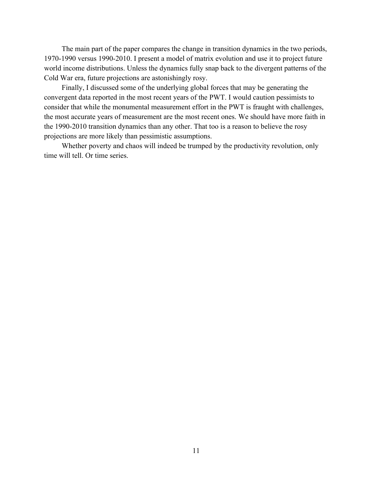The main part of the paper compares the change in transition dynamics in the two periods, 1970-1990 versus 1990-2010. I present a model of matrix evolution and use it to project future world income distributions. Unless the dynamics fully snap back to the divergent patterns of the Cold War era, future projections are astonishingly rosy.

Finally, I discussed some of the underlying global forces that may be generating the convergent data reported in the most recent years of the PWT. I would caution pessimists to consider that while the monumental measurement effort in the PWT is fraught with challenges, the most accurate years of measurement are the most recent ones. We should have more faith in the 1990-2010 transition dynamics than any other. That too is a reason to believe the rosy projections are more likely than pessimistic assumptions.

Whether poverty and chaos will indeed be trumped by the productivity revolution, only time will tell. Or time series.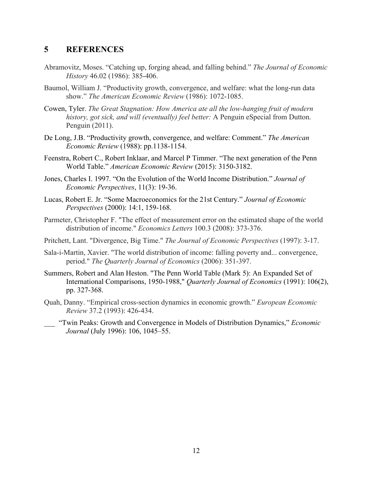# **5 REFERENCES**

- Abramovitz, Moses. "Catching up, forging ahead, and falling behind." *The Journal of Economic History* 46.02 (1986): 385-406.
- Baumol, William J. "Productivity growth, convergence, and welfare: what the long-run data show." *The American Economic Review* (1986): 1072-1085.
- Cowen, Tyler. *The Great Stagnation: How America ate all the low-hanging fruit of modern history, got sick, and will (eventually) feel better:* A Penguin eSpecial from Dutton. Penguin (2011).
- De Long, J.B. "Productivity growth, convergence, and welfare: Comment." *The American Economic Review* (1988): pp.1138-1154.
- Feenstra, Robert C., Robert Inklaar, and Marcel P Timmer. "The next generation of the Penn World Table." *American Economic Review* (2015): 3150-3182.
- Jones, Charles I. 1997. "On the Evolution of the World Income Distribution." *Journal of Economic Perspectives*, 11(3): 19-36.
- Lucas, Robert E. Jr. "Some Macroeconomics for the 21st Century." *Journal of Economic Perspectives* (2000): 14:1, 159-168.
- Parmeter, Christopher F. "The effect of measurement error on the estimated shape of the world distribution of income." *Economics Letters* 100.3 (2008): 373-376.
- Pritchett, Lant. "Divergence, Big Time." *The Journal of Economic Perspectives* (1997): 3-17.
- Sala-i-Martin, Xavier. "The world distribution of income: falling poverty and... convergence, period." *The Quarterly Journal of Economics* (2006): 351-397.
- Summers, Robert and Alan Heston. "The Penn World Table (Mark 5): An Expanded Set of International Comparisons, 1950-1988," *Quarterly Journal of Economics* (1991): 106(2), pp. 327-368.
- Quah, Danny. "Empirical cross-section dynamics in economic growth." *European Economic Review* 37.2 (1993): 426-434.
- \_\_\_ "Twin Peaks: Growth and Convergence in Models of Distribution Dynamics," *Economic Journal* (July 1996): 106, 1045–55.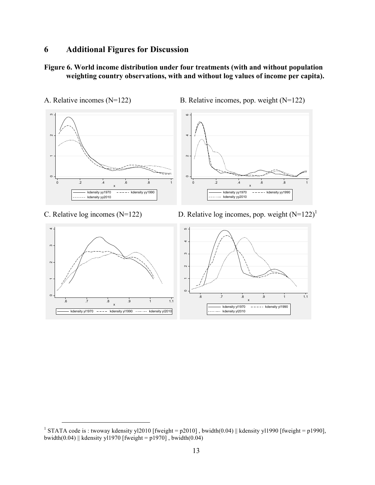# **6 Additional Figures for Discussion**

# **Figure 6. World income distribution under four treatments (with and without population weighting country observations, with and without log values of income per capita).**



C. Relative log incomes (N=122) D. Relative log incomes, pop. weight  $(N=122)^1$ 



<sup>&</sup>lt;sup>1</sup> STATA code is : twoway kdensity yl2010 [fweight = p2010], bwidth(0.04) || kdensity yl1990 [fweight = p1990], bwidth $(0.04)$  || kdensity yl1970 [fweight = p1970], bwidth $(0.04)$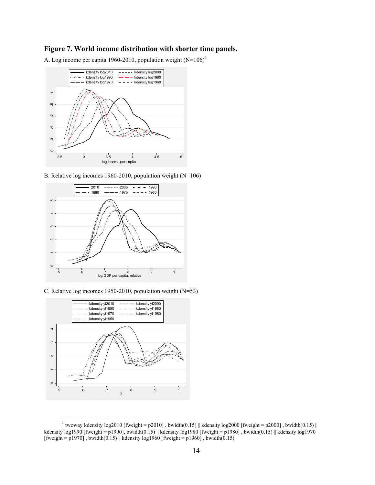#### **Figure 7. World income distribution with shorter time panels.**



A. Log income per capita 1960-2010, population weight  $(N=106)^2$ 

B. Relative log incomes 1960-2010, population weight (N=106)



C. Relative log incomes 1950-2010, population weight (N=53)



<sup>&</sup>lt;sup>2</sup> twoway kdensity log2010 [fweight = p2010], bwidth(0.15) || kdensity log2000 [fweight = p2000], bwidth(0.15) || kdensity log1990 [fweight = p1990], bwidth $(0.15)$  || kdensity log1980 [fweight = p1980], bwidth $(0.15)$  || kdensity log1970 [fweight = p1970], bwidth $(0.15)$  || kdensity log1960 [fweight = p1960], bwidth $(0.15)$